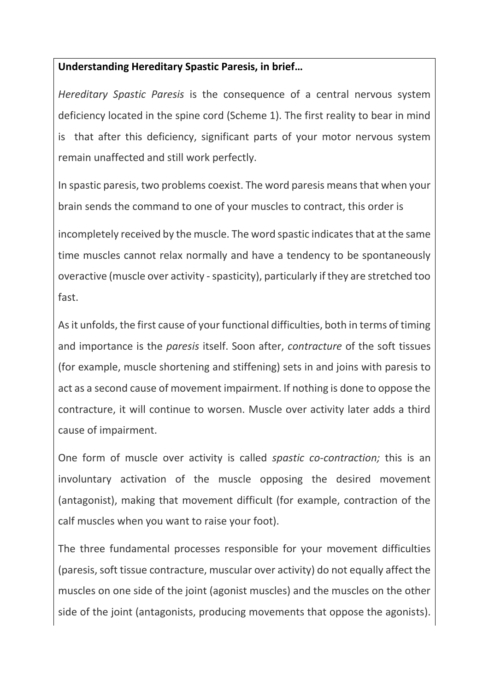## **Understanding Hereditary Spastic Paresis, in brief…**

*Hereditary Spastic Paresis* is the consequence of a central nervous system deficiency located in the spine cord (Scheme 1). The first reality to bear in mind is that after this deficiency, significant parts of your motor nervous system remain unaffected and still work perfectly.

In spastic paresis, two problems coexist. The word paresis means that when your brain sends the command to one of your muscles to contract, this order is

incompletely received by the muscle. The word spastic indicates that at the same time muscles cannot relax normally and have a tendency to be spontaneously overactive (muscle over activity -spasticity), particularly if they are stretched too fast.

As it unfolds, the first cause of your functional difficulties, both in terms of timing and importance is the *paresis* itself. Soon after, *contracture* of the soft tissues (for example, muscle shortening and stiffening) sets in and joins with paresis to act as a second cause of movement impairment. If nothing is done to oppose the contracture, it will continue to worsen. Muscle over activity later adds a third cause of impairment.

One form of muscle over activity is called *spastic co-contraction;* this is an involuntary activation of the muscle opposing the desired movement (antagonist), making that movement difficult (for example, contraction of the calf muscles when you want to raise your foot).

The three fundamental processes responsible for your movement difficulties (paresis, soft tissue contracture, muscular over activity) do not equally affect the muscles on one side of the joint (agonist muscles) and the muscles on the other side of the joint (antagonists, producing movements that oppose the agonists).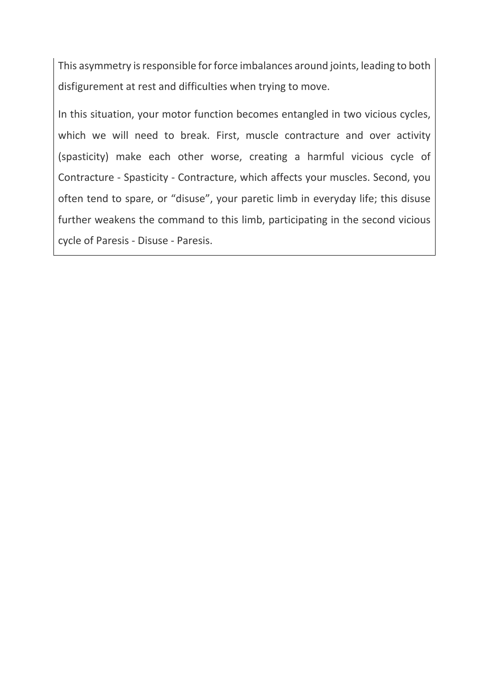This asymmetry is responsible for force imbalances around joints, leading to both disfigurement at rest and difficulties when trying to move.

In this situation, your motor function becomes entangled in two vicious cycles, which we will need to break. First, muscle contracture and over activity (spasticity) make each other worse, creating a harmful vicious cycle of Contracture - Spasticity - Contracture, which affects your muscles. Second, you often tend to spare, or "disuse", your paretic limb in everyday life; this disuse further weakens the command to this limb, participating in the second vicious cycle of Paresis - Disuse - Paresis.